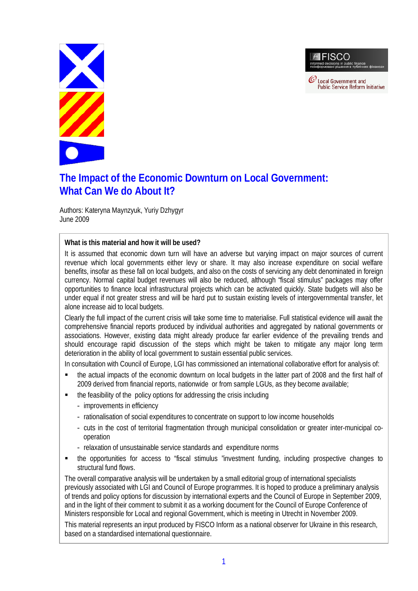**FISCO**  $\mathcal O$  Local Government and

**Public Service Reform Initiative** 



# **The Impact of the Economic Downturn on Local Government: What Can We do About It?**

Authors: Kateryna Maynzyuk, Yuriy Dzhygyr June 2009

**What is this material and how it will be used?**

It is assumed that economic down turn will have an adverse but varying impact on major sources of current revenue which local governments either levy or share. It may also increase expenditure on social welfare benefits, insofar as these fall on local budgets, and also on the costs of servicing any debt denominated in foreign currency. Normal capital budget revenues will also be reduced, although "fiscal stimulus" packages may offer opportunities to finance local infrastructural projects which can be activated quickly. State budgets will also be under equal if not greater stress and will be hard put to sustain existing levels of intergovernmental transfer, let alone increase aid to local budgets.

Clearly the full impact of the current crisis will take some time to materialise. Full statistical evidence will await the comprehensive financial reports produced by individual authorities and aggregated by national governments or associations. However, existing data might already produce far earlier evidence of the prevailing trends and should encourage rapid discussion of the steps which might be taken to mitigate any major long term deterioration in the ability of local government to sustain essential public services.

In consultation with Council of Europe, LGI has commissioned an international collaborative effort for analysis of:

- the actual impacts of the economic downturn on local budgets in the latter part of 2008 and the first half of 2009 derived from financial reports, nationwide or from sample LGUs, as they become available;
- the feasibility of the policy options for addressing the crisis including
	- improvements in efficiency
	- rationalisation of social expenditures to concentrate on support to low income households
	- cuts in the cost of territorial fragmentation through municipal consolidation or greater inter-municipal cooperation
	- relaxation of unsustainable service standards and expenditure norms
- the opportunities for access to "fiscal stimulus "investment funding, including prospective changes to structural fund flows.

The overall comparative analysis will be undertaken by a small editorial group of international specialists previously associated with LGI and Council of Europe programmes. It is hoped to produce a preliminary analysis of trends and policy options for discussion by international experts and the Council of Europe in September 2009, and in the light of their comment to submit it as a working document for the Council of Europe Conference of Ministers responsible for Local and regional Government, which is meeting in Utrecht in November 2009.

This material represents an input produced by FISCO Inform as a national observer for Ukraine in this research, based on a standardised international questionnaire.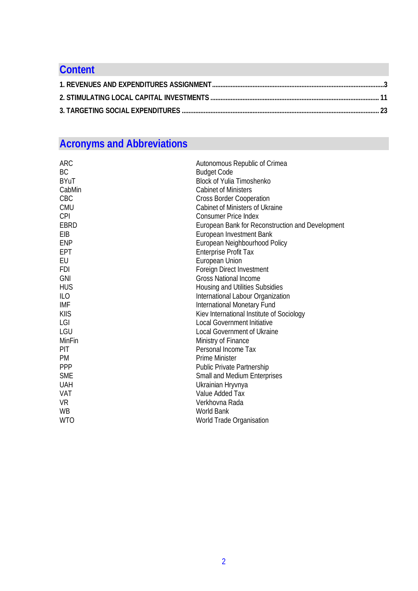# **Content 1. REVENUES AND EXPENDITURES ASSIGNMENT......................................................................................................3 2. STIMULATING LOCAL CAPITAL INVESTMENTS .................................................................................................... 11 3. TARGETING SOCIAL EXPENDITURES ..................................................................................................................... 23**

# **Acronyms and Abbreviations**

| <b>ARC</b><br>BC<br><b>BYuT</b><br>CabMin<br><b>CBC</b><br><b>CMU</b> | Autonomous Republic of Crimea<br><b>Budget Code</b><br><b>Block of Yulia Timoshenko</b><br><b>Cabinet of Ministers</b><br><b>Cross Border Cooperation</b><br><b>Cabinet of Ministers of Ukraine</b> |
|-----------------------------------------------------------------------|-----------------------------------------------------------------------------------------------------------------------------------------------------------------------------------------------------|
| <b>CPI</b><br><b>EBRD</b>                                             | <b>Consumer Price Index</b><br>European Bank for Reconstruction and Development                                                                                                                     |
| EIB                                                                   | European Investment Bank                                                                                                                                                                            |
| <b>ENP</b>                                                            | European Neighbourhood Policy                                                                                                                                                                       |
| EPT                                                                   | <b>Enterprise Profit Tax</b>                                                                                                                                                                        |
| EU                                                                    | <b>European Union</b>                                                                                                                                                                               |
| <b>FDI</b>                                                            | Foreign Direct Investment                                                                                                                                                                           |
| <b>GNI</b>                                                            | <b>Gross National Income</b>                                                                                                                                                                        |
| <b>HUS</b>                                                            | Housing and Utilities Subsidies                                                                                                                                                                     |
| ILO                                                                   | International Labour Organization                                                                                                                                                                   |
| IMF                                                                   | <b>International Monetary Fund</b>                                                                                                                                                                  |
| <b>KIIS</b>                                                           | Kiev International Institute of Sociology                                                                                                                                                           |
| LGI                                                                   | <b>Local Government Initiative</b>                                                                                                                                                                  |
| LGU                                                                   | <b>Local Government of Ukraine</b>                                                                                                                                                                  |
| MinFin                                                                | Ministry of Finance                                                                                                                                                                                 |
| <b>PIT</b>                                                            | Personal Income Tax                                                                                                                                                                                 |
| <b>PM</b>                                                             | <b>Prime Minister</b>                                                                                                                                                                               |
| <b>PPP</b>                                                            | <b>Public Private Partnership</b>                                                                                                                                                                   |
| <b>SME</b>                                                            | Small and Medium Enterprises                                                                                                                                                                        |
| <b>UAH</b>                                                            | Ukrainian Hryvnya                                                                                                                                                                                   |
| VAT                                                                   | Value Added Tax                                                                                                                                                                                     |
| <b>VR</b>                                                             | Verkhovna Rada                                                                                                                                                                                      |
| <b>WB</b>                                                             | <b>World Bank</b>                                                                                                                                                                                   |
| <b>WTO</b>                                                            | World Trade Organisation                                                                                                                                                                            |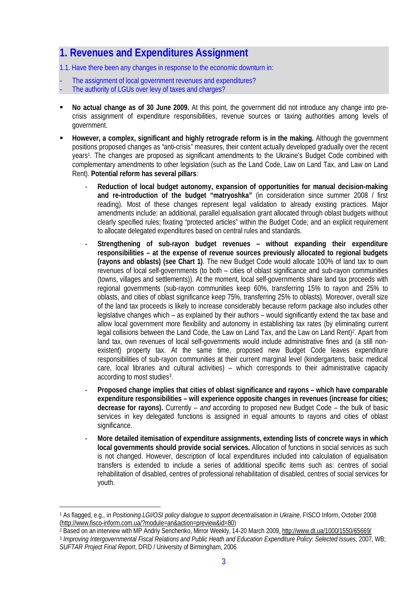## **1. Revenues and Expenditures Assignment**

1.1. Have there been any changes in response to the economic downturn in:

- The assignment of local government revenues and expenditures?
- The authority of LGUs over levy of taxes and charges?
- **No actual change as of 30 June 2009.** At this point, the government did not introduce any change into precrisis assignment of expenditure responsibilities, revenue sources or taxing authorities among levels of government.
- **However, a complex, significant and highly retrograde reform is in the making.** Although the government positions proposed changes as "anti-crisis" measures, their content actually developed gradually over the recent years<sup>1</sup>. The changes are proposed as significant amendments to the Ukraine's Budget Code combined with complementary amendments to other legislation (such as the Land Code, Law on Land Tax, and Law on Land Rent). **Potential reform has several pillars**:
	- **Reduction of local budget autonomy, expansion of opportunities for manual decision-making and re-introduction of the budget "matryoshka"** (in consideration since summer 2008 / first reading). Most of these changes represent legal validation to already existing practices. Major amendments include: an additional, parallel equalisation grant allocated through oblast budgets without clearly specified rules; fixating "protected articles" within the Budget Code; and an explicit requirement to allocate delegated expenditures based on central rules and standards.
	- **Strengthening of sub-rayon budget revenues without expanding their expenditure responsibilities – at the expense of revenue sources previously allocated to regional budgets (rayons and oblasts) (see Chart 1)**. The new Budget Code would allocate 100% of land tax to own revenues of local self-governments (to both – cities of oblast significance and sub-rayon communities (towns, villages and settlements)). At the moment, local self-governments share land tax proceeds with regional governments (sub-rayon communities keep 60%, transferring 15% to rayon and 25% to oblasts, and cities of oblast significance keep 75%, transferring 25% to oblasts). Moreover, overall size of the land tax proceeds is likely to increase considerably because reform package also includes other legislative changes which – as explained by their authors – would significantly extend the tax base and allow local government more flexibility and autonomy in establishing tax rates (by eliminating current legal collisions between the Land Code, the Law on Land Tax, and the Law on Land Rent)<sup>2</sup>. Apart from land tax, own revenues of local self-governments would include administrative fines and (a still nonexistent) property tax. At the same time, proposed new Budget Code leaves expenditure responsibilities of sub-rayon communities at their current marginal level (kindergartens, basic medical care, local libraries and cultural activities) – which corresponds to their administrative capacity according to most studies<sup>3</sup>.
	- **Proposed change implies that cities of oblast significance and rayons which have comparable expenditure responsibilities – will experience opposite changes in revenues (increase for cities; decrease for rayons).** Currently – *and* according to proposed new Budget Code – the bulk of basic services in key delegated functions is assigned in equal amounts to rayons and cities of oblast significance.
	- **More detailed itemisation of expenditure assignments, extending lists of concrete ways in which local governments should provide social services.** Allocation of functions in social services as such is not changed. However, description of local expenditures included into calculation of equalisation transfers is extended to include a series of additional specific items such as: centres of social rehabilitation of disabled, centres of professional rehabilitation of disabled, centres of social services for youth.

<sup>2</sup> Based on an interview with MP Andriy Senchenko, Mirror Weekly, 14-20 March 2009, <http://www.dt.ua/1000/1550/65669/> 3 *Improving Intergovernmental Fiscal Relations and Public Heath and Education Expenditure Policy: Selected Issues,* 2007, WB;

<sup>&</sup>lt;sup>1</sup> As flagged, e.g., in *Positioning LGI/OSI policy dialogue to support decentralisation in Ukraine, FISCO Inform, October 2008* ([http://www.fisco-inform.com.ua/?module=an&action=preview&id=80\)](http://www.fisco-inform.com.ua/?module=an&action=preview&id=80)

*SUFTAR Project Final Report*, DFID / University of Birmingham, 2006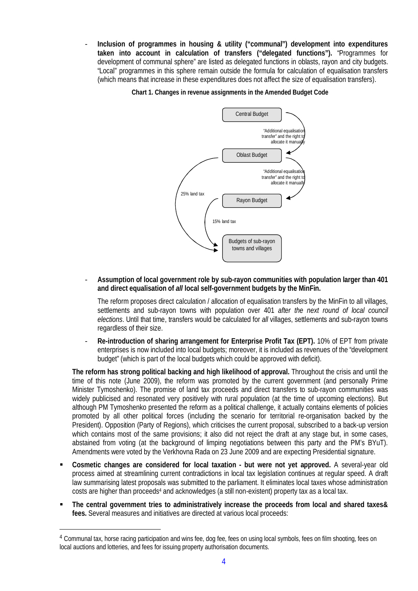- **Inclusion of programmes in housing & utility ("communal") development into expenditures taken into account in calculation of transfers ("delegated functions").** "Programmes for development of communal sphere" are listed as delegated functions in oblasts, rayon and city budgets. "Local" programmes in this sphere remain outside the formula for calculation of equalisation transfers (which means that increase in these expenditures does not affect the size of equalisation transfers).

**Chart 1. Changes in revenue assignments in the Amended Budget Code**



- **Assumption of local government role by sub-rayon communities with population larger than 401 and direct equalisation of** *all* **local self-government budgets by the MinFin.**

The reform proposes direct calculation / allocation of equalisation transfers by the MinFin to all villages, settlements and sub-rayon towns with population over 401 *after the next round of local council elections*. Until that time, transfers would be calculated for *all* villages, settlements and sub-rayon towns regardless of their size.

Re-introduction of sharing arrangement for Enterprise Profit Tax (EPT). 10% of EPT from private enterprises is now included into local budgets; moreover, it is included as revenues of the "development budget" (which is part of the local budgets which could be approved with deficit).

**The reform has strong political backing and high likelihood of approval.** Throughout the crisis and until the time of this note (June 2009), the reform was promoted by the current government (and personally Prime Minister Tymoshenko). The promise of land tax proceeds and direct transfers to sub-rayon communities was widely publicised and resonated very positively with rural population (at the time of upcoming elections). But although PM Tymoshenko presented the reform as a political challenge, it actually contains elements of policies promoted by all other political forces (including the scenario for territorial re-organisation backed by the President). Opposition (Party of Regions), which criticises the current proposal, subscribed to a back-up version which contains most of the same provisions; it also did not reject the draft at any stage but, in some cases, abstained from voting (at the background of limping negotiations between this party and the PM's BYuT). Amendments were voted by the Verkhovna Rada on 23 June 2009 and are expecting Presidential signature.

- **Cosmetic changes are considered for local taxation but were not yet approved.** A several-year old process aimed at streamlining current contradictions in local tax legislation continues at regular speed. A draft law summarising latest proposals was submitted to the parliament. It eliminates local taxes whose administration costs are higher than proceeds<sup>4</sup> and acknowledges (a still non-existent) property tax as a local tax.
- **The central government tries to administratively increase the proceeds from local and shared taxes& fees.** Several measures and initiatives are directed at various local proceeds:

<sup>4</sup> Communal tax, horse racing participation and wins fee, dog fee, fees on using local symbols, fees on film shooting, fees on local auctions and lotteries, and fees for issuing property authorisation documents.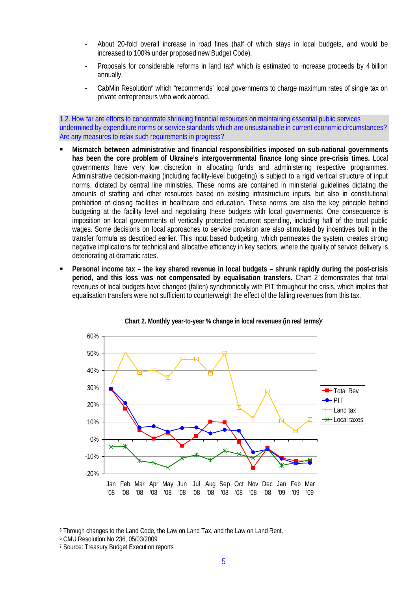- About 20-fold overall increase in road fines (half of which stays in local budgets, and would be increased to 100% under proposed new Budget Code).
- Proposals for considerable reforms in land tax<sup>5</sup> which is estimated to increase proceeds by 4 billion annually.
- CabMin Resolution<sup>6</sup> which "recommends" local governments to charge maximum rates of single tax on private entrepreneurs who work abroad.

1.2. How far are efforts to concentrate shrinking financial resources on maintaining essential public services undermined by expenditure norms or service standards which are unsustainable in current economic circumstances? Are any measures to relax such requirements in progress?

- **Mismatch between administrative and financial responsibilities imposed on sub-national governments has been the core problem of Ukraine's intergovernmental finance long since pre-crisis times.** Local governments have very low discretion in allocating funds and administering respective programmes. Administrative decision-making (including facility-level budgeting) is subject to a rigid vertical structure of input norms, dictated by central line ministries. These norms are contained in ministerial guidelines dictating the amounts of staffing and other resources based on existing infrastructure inputs, but also in constitutional prohibition of closing facilities in healthcare and education. These norms are also the key principle behind budgeting at the facility level and negotiating these budgets with local governments. One consequence is imposition on local governments of vertically protected recurrent spending, including half of the total public wages. Some decisions on local approaches to service provision are also stimulated by incentives built in the transfer formula as described earlier. This input based budgeting, which permeates the system, creates strong negative implications for technical and allocative efficiency in key sectors, where the quality of service delivery is deteriorating at dramatic rates.
- **Personal income tax the key shared revenue in local budgets shrunk rapidly during the post-crisis period, and this loss was not compensated by equalisation transfers.** Chart 2 demonstrates that total revenues of local budgets have changed (fallen) synchronically with PIT throughout the crisis, which implies that equalisation transfers were not sufficient to counterweigh the effect of the falling revenues from this tax.



**Chart 2. Monthly year-to-year % change in local revenues (in real terms)<sup>7</sup>**

<sup>5</sup> Through changes to the Land Code, the Law on Land Tax, and the Law on Land Rent.

<sup>6</sup> CMU Resolution No 236, 05/03/2009

<sup>7</sup> Source: Treasury Budget Execution reports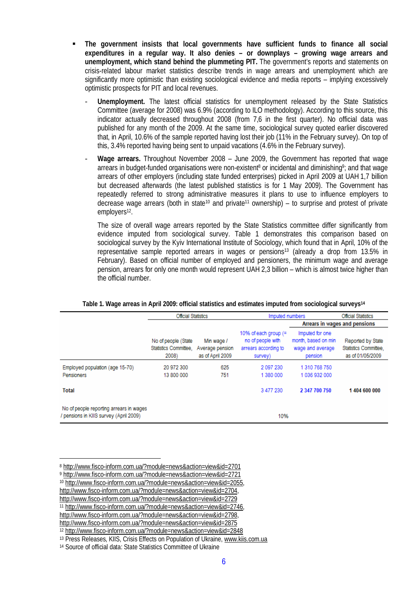- **The government insists that local governments have sufficient funds to finance all social expenditures in a regular way. It also denies – or downplays – growing wage arrears and unemployment, which stand behind the plummeting PIT.** The government's reports and statements on crisis-related labour market statistics describe trends in wage arrears and unemployment which are significantly more optimistic than existing sociological evidence and media reports – implying excessively optimistic prospects for PIT and local revenues.
	- **Unemployment.** The latest official statistics for unemployment released by the State Statistics Committee (average for 2008) was 6.9% (according to ILO methodology). According to this source, this indicator actually decreased throughout 2008 (from 7,6 in the first quarter). No official data was published for any month of the 2009. At the same time, sociological survey quoted earlier discovered that, in April, 10.6% of the sample reported having lost their job (11% in the February survey). On top of this, 3.4% reported having being sent to unpaid vacations (4.6% in the February survey).
	- **Wage arrears.** Throughout November 2008 June 2009, the Government has reported that wage arrears in budget-funded organisations were non-existent<sup>8</sup> or incidental and diminishing<sup>9</sup>; and that wage arrears of other employers (including state funded enterprises) picked in April 2009 at UAH 1,7 billion but decreased afterwards (the latest published statistics is for 1 May 2009). The Government has repeatedly referred to strong administrative measures it plans to use to influence employers to decrease wage arrears (both in state<sup>10</sup> and private<sup>11</sup> ownership) – to surprise and protest of private employers<sup>12</sup>.

The size of overall wage arrears reported by the State Statistics committee differ significantly from evidence imputed from sociological survey. Table 1 demonstrates this comparison based on sociological survey by the Kyiv International Institute of Sociology, which found that in April, 10% of the representative sample reported arrears in wages or pensions<sup>13</sup> (already a drop from 13.5% in February). Based on official number of employed and pensioners, the minimum wage and average pension, arrears for only one month would represent UAH 2,3 billion – which is almost twice higher than the official number.

|                                                                                   | <b>Official Statistics</b>                            |                                                   | Imputed numbers                                                                | <b>Official Statistics</b>                                            |                                                                |  |
|-----------------------------------------------------------------------------------|-------------------------------------------------------|---------------------------------------------------|--------------------------------------------------------------------------------|-----------------------------------------------------------------------|----------------------------------------------------------------|--|
|                                                                                   |                                                       |                                                   |                                                                                | Arrears in wages and pensions                                         |                                                                |  |
|                                                                                   | No of people (State<br>Statistics Committee.<br>2008) | Min wage /<br>Average pension<br>as of April 2009 | 10% of each group $(=$<br>no of people with<br>arrears according to<br>survey) | Imputed for one<br>month, based on min<br>wage and average<br>pension | Reported by State<br>Statistics Committee.<br>as of 01/05/2009 |  |
| Employed population (age 15-70)<br>Pensioners                                     | 20 972 300<br>13 800 000                              | 625<br>751                                        | 2 097 230<br>1 380 000                                                         | 1 310 768 750<br>1036932000                                           |                                                                |  |
| <b>Total</b>                                                                      |                                                       |                                                   | 3 477 230                                                                      | 2 347 700 750                                                         | 1404 600 000                                                   |  |
| No of people reporting arrears in wages<br>/ pensions in KIIS survey (April 2009) |                                                       |                                                   | 10%                                                                            |                                                                       |                                                                |  |

**Table 1. Wage arreas in April 2009: official statistics and estimates imputed from sociological surveys<sup>14</sup>**

<http://www.fisco-inform.com.ua/?module=news&action=view&id=2875>

<sup>8</sup> <http://www.fisco-inform.com.ua/?module=news&action=view&id=2701>

<sup>9</sup> <http://www.fisco-inform.com.ua/?module=news&action=view&id=2721>

<sup>10</sup><http://www.fisco-inform.com.ua/?module=news&action=view&id=2055,>

<http://www.fisco-inform.com.ua/?module=news&action=view&id=2704,>

<http://www.fisco-inform.com.ua/?module=news&action=view&id=2729>

<sup>11</sup><http://www.fisco-inform.com.ua/?module=news&action=view&id=2746,>

<http://www.fisco-inform.com.ua/?module=news&action=view&id=2798,>

<sup>12</sup><http://www.fisco-inform.com.ua/?module=news&action=view&id=2848>

<sup>13</sup> Press Releases, KIIS, Crisis Effects on Population of Ukraine, [www.kiis.com.ua](http://www.kiis.com.ua)

<sup>14</sup> Source of official data: State Statistics Committee of Ukraine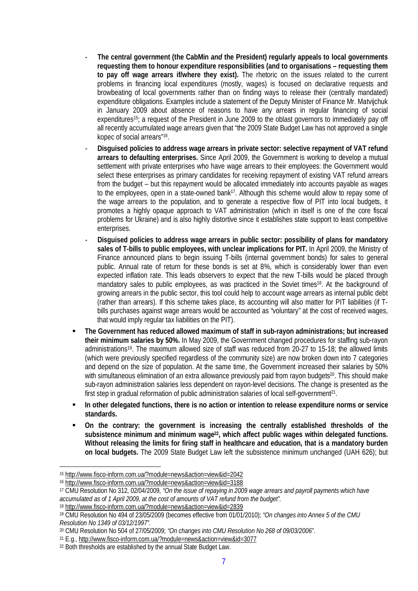- **The central government (the CabMin** *and* **the President) regularly appeals to local governments requesting them to honour expenditure responsibilities (and to organisations – requesting them to pay off wage arrears if/where they exist).** The rhetoric on the issues related to the current problems in financing local expenditures (mostly, wages) is focused on declarative requests and browbeating of local governments rather than on finding ways to release their (centrally mandated) expenditure obligations. Examples include a statement of the Deputy Minister of Finance Mr. Matvijchuk in January 2009 about absence of reasons to have any arrears in regular financing of social expenditures<sup>15</sup>; a request of the President in June 2009 to the oblast governors to immediately pay off all recently accumulated wage arrears given that "the 2009 State Budget Law has not approved a single kopec of social arrears"<sup>16</sup> .
- **Disguised policies to address wage arrears in private sector: selective repayment of VAT refund arrears to defaulting enterprises.** Since April 2009, the Government is working to develop a mutual settlement with private enterprises who have wage arrears to their employees: the Government would select these enterprises as primary candidates for receiving repayment of existing VAT refund arrears from the budget – but this repayment would be allocated immediately into accounts payable as wages to the employees, open in a state-owned bank<sup>17</sup>. Although this scheme would allow to repay some of the wage arrears to the population, and to generate a respective flow of PIT into local budgets, it promotes a highly opaque approach to VAT administration (which in itself is one of the core fiscal problems for Ukraine) and is also highly distortive since it establishes state support to least competitive enterprises.
- **Disguised policies to address wage arrears in public sector: possibility of plans for mandatory sales of T-bills to public employees, with unclear implications for PIT.** In April 2009, the Ministry of Finance announced plans to begin issuing T-bills (internal government bonds) for sales to general public. Annual rate of return for these bonds is set at 8%, which is considerably lower than even expected inflation rate. This leads observers to expect that the new T-bills would be placed through mandatory sales to public employees, as was practiced in the Soviet times<sup>18</sup>. At the background of growing arrears in the public sector, this tool could help to account wage arrears as internal public debt (rather than arrears). If this scheme takes place, its accounting will also matter for PIT liabilities (if Tbills purchases against wage arrears would be accounted as "voluntary" at the cost of received wages, that would imply regular tax liabilities on the PIT).
- **The Government has reduced allowed maximum of staff in sub-rayon administrations; but increased their minimum salaries by 50%.** In May 2009, the Government changed procedures for staffing sub-rayon administrations<sup>19</sup>. The maximum allowed size of staff was reduced from 20-27 to 15-18; the allowed limits (which were previously specified regardless of the community size) are now broken down into 7 categories and depend on the size of population. At the same time, the Government increased their salaries by 50% with simultaneous elimination of an extra allowance previously paid from rayon budgets<sup>20</sup>. This should make sub-rayon administration salaries less dependent on rayon-level decisions. The change is presented as the first step in gradual reformation of public administration salaries of local self-government<sup>21</sup>.
- **In other delegated functions, there is no action or intention to release expenditure norms or service standards.**
- **On the contrary: the government is increasing the centrally established thresholds of the subsistence minimum and minimum wage22, which affect public wages within delegated functions. Without releasing the limits for firing staff in healthcare and education, that is a mandatory burden on local budgets.** The 2009 State Budget Law left the subsistence minimum unchanged (UAH 626); but

<sup>15</sup><http://www.fisco-inform.com.ua/?module=news&action=view&id=2042>

<sup>16</sup><http://www.fisco-inform.com.ua/?module=news&action=view&id=3188>

<sup>17</sup> CMU Resolution No 312, 02/04/2009, *"On the issue of repaying in 2009 wage arrears and payroll payments which have accumulated as of 1 April 2009, at the cost of amounts of VAT refund from the budget".*

<sup>18</sup><http://www.fisco-inform.com.ua/?module=news&action=view&id=2839>

<sup>19</sup> CMU Resolution No 494 of 23/05/2009 (becomes effective from 01/01/2010); *"On changes into Annex 5 of the CMU Resolution No 1349 of 03/12/1997"*.

<sup>20</sup> CMU Resolution No 504 of 27/05/2009; *"On changes into CMU Resolution No 268 of 09/03/2006"*.

<sup>&</sup>lt;sup>21</sup> E.g.,<http://www.fisco-inform.com.ua/?module=news&action=view&id=3077>

<sup>22</sup> Both thresholds are established by the annual State Budget Law.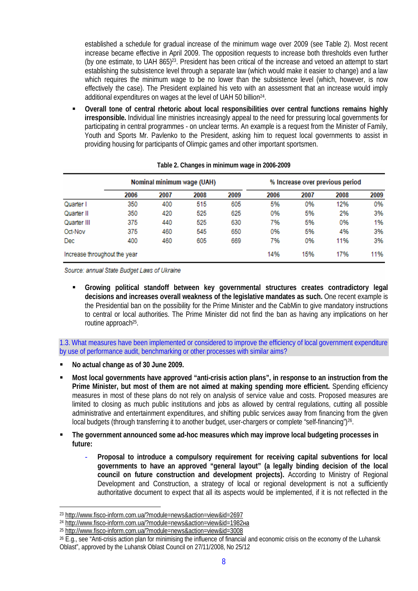established a schedule for gradual increase of the minimum wage over 2009 (see Table 2). Most recent increase became effective in April 2009. The opposition requests to increase both thresholds even further (by one estimate, to UAH 865)23. President has been critical of the increase and vetoed an attempt to start establishing the subsistence level through a separate law (which would make it easier to change) and a law which requires the minimum wage to be no lower than the subsistence level (which, however, is now effectively the case). The President explained his veto with an assessment that an increase would imply additional expenditures on wages at the level of UAH 50 billion<sup>24</sup>.

 **Overall tone of central rhetoric about local responsibilities over central functions remains highly irresponsible.** Individual line ministries increasingly appeal to the need for pressuring local governments for participating in central programmes - on unclear terms. An example is a request from the Minister of Family, Youth and Sports Mr. Pavlenko to the President, asking him to request local governments to assist in providing housing for participants of Olimpic games and other important sportsmen.

|                              | Nominal minimum wage (UAH) |      |      |      |      | % Increase over previous period |      |      |
|------------------------------|----------------------------|------|------|------|------|---------------------------------|------|------|
|                              | 2006                       | 2007 | 2008 | 2009 | 2006 | 2007                            | 2008 | 2009 |
| Quarter I                    | 350                        | 400  | 515  | 605  | 5%   | 0%                              | 12%  | 0%   |
| Quarter II                   | 350                        | 420  | 525  | 625  | 0%   | 5%                              | 2%   | 3%   |
| Quarter III                  | 375                        | 440  | 525  | 630  | 7%   | 5%                              | 0%   | 1%   |
| Oct-Nov                      | 375                        | 460  | 545  | 650  | 0%   | 5%                              | 4%   | 3%   |
| <b>Dec</b>                   | 400                        | 460  | 605  | 669  | 7%   | 0%                              | 11%  | 3%   |
| Increase throughout the year |                            |      |      |      | 14%  | 15%                             | 17%  | 11%  |

|  |  |  | Table 2. Changes in minimum wage in 2006-2009 |
|--|--|--|-----------------------------------------------|
|  |  |  |                                               |
|  |  |  |                                               |

Source: annual State Budget Laws of Ukraine

 **Growing political standoff between key governmental structures creates contradictory legal decisions and increases overall weakness of the legislative mandates as such.** One recent example is the Presidential ban on the possibility for the Prime Minister and the CabMin to give mandatory instructions to central or local authorities. The Prime Minister did not find the ban as having any implications on her routine approach<sup>25</sup>.

1.3. What measures have been implemented or considered to improve the efficiency of local government expenditure by use of performance audit, benchmarking or other processes with similar aims?

- **No actual change as of 30 June 2009.**
- **Most local governments have approved "anti-crisis action plans", in response to an instruction from the Prime Minister, but most of them are not aimed at making spending more efficient.** Spending efficiency measures in most of these plans do not rely on analysis of service value and costs. Proposed measures are limited to closing as much public institutions and jobs as allowed by central regulations, cutting all possible administrative and entertainment expenditures, and shifting public services away from financing from the given local budgets (through transferring it to another budget, user-chargers or complete "self-financing")<sup>26</sup>.
- **The government announced some ad-hoc measures which may improve local budgeting processes in future:**
	- **Proposal to introduce a compulsory requirement for receiving capital subventions for local governments to have an approved "general layout" (a legally binding decision of the local council on future construction and development projects).** According to Ministry of Regional Development and Construction, a strategy of local or regional development is not a sufficiently authoritative document to expect that all its aspects would be implemented, if it is not reflected in the

<sup>23</sup><http://www.fisco-inform.com.ua/?module=news&action=view&id=2697>

<sup>&</sup>lt;sup>24</sup><http://www.fisco-inform.com.ua/?module=news&action=view&id=1982>на

<sup>25</sup><http://www.fisco-inform.com.ua/?module=news&action=view&id=3008>

 $26$  E.g., see "Anti-crisis action plan for minimising the influence of financial and economic crisis on the economy of the Luhansk Oblast", approved by the Luhansk Oblast Council on 27/11/2008, No 25/12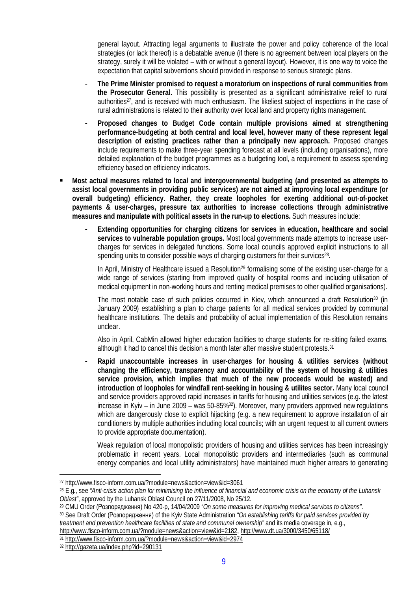general layout. Attracting legal arguments to illustrate the power and policy coherence of the local strategies (or lack thereof) is a debatable avenue (if there is no agreement between local players on the strategy, surely it will be violated – with or without a general layout). However, it is one way to voice the expectation that capital subventions should provided in response to serious strategic plans.

- **The Prime Minister promised to request a moratorium on inspections of rural communities from the Prosecutor General.** This possibility is presented as a significant administrative relief to rural authorities<sup>27</sup>, and is received with much enthusiasm. The likeliest subject of inspections in the case of rural administrations is related to their authority over local land and property rights management.
- **Proposed changes to Budget Code contain multiple provisions aimed at strengthening performance-budgeting at both central and local level, however many of these represent legal description of existing practices rather than a principally new approach.** Proposed changes include requirements to make three-year spending forecast at all levels (including organisations), more detailed explanation of the budget programmes as a budgeting tool, a requirement to assess spending efficiency based on efficiency indicators.
- **Most actual measures related to local and intergovernmental budgeting (and presented as attempts to assist local governments in providing public services) are not aimed at improving local expenditure (or overall budgeting) efficiency. Rather, they create loopholes for exerting additional out-of-pocket payments & user-charges, pressure tax authorities to increase collections through administrative measures and manipulate with political assets in the run-up to elections.** Such measures include:
	- **Extending opportunities for charging citizens for services in education, healthcare and social services to vulnerable population groups.** Most local governments made attempts to increase usercharges for services in delegated functions. Some local councils approved explicit instructions to all spending units to consider possible ways of charging customers for their survices<sup>28</sup>.

In April, Ministry of Healthcare issued a Resolution<sup>29</sup> formalising some of the existing user-charge for a wide range of services (starting from improved quality of hospital rooms and including utilisation of medical equipment in non-working hours and renting medical premises to other qualified organisations).

The most notable case of such policies occurred in Kiev, which announced a draft Resolution<sup>30</sup> (in January 2009) establishing a plan to charge patients for all medical services provided by communal healthcare institutions. The details and probability of actual implementation of this Resolution remains unclear.

Also in April, CabMin allowed higher education facilities to charge students for re-sitting failed exams, although it had to cancel this decision a month later after massive student protests.<sup>31</sup>

- **Rapid unaccountable increases in user-charges for housing & utilities services (without changing the efficiency, transparency and accountability of the system of housing & utilities service provision, which implies that much of the new proceeds would be wasted) and introduction of loopholes for windfall rent-seeking in housing & utilites sector.** Many local council and service providers approved rapid increases in tariffs for housing and utilities services (e.g. the latest increase in Kyiv – in June 2009 – was 50-85%<sup>32</sup>). Moreover, many providers approved new regulations which are dangerously close to explicit hijacking (e.g. a new requirement to approve installation of air conditioners by multiple authorities including local councils; with an urgent request to all current owners to provide appropriate documentation).

Weak regulation of local monopolistic providers of housing and utilities services has been increasingly problematic in recent years. Local monopolistic providers and intermediaries (such as communal energy companies and local utility administrators) have maintained much higher arrears to generating

<http://www.fisco-inform.com.ua/?module=news&action=view&id=2182,><http://www.dt.ua/3000/3450/65118/>

<sup>31</sup><http://www.fisco-inform.com.ua/?module=news&action=view&id=2974>

<sup>27</sup><http://www.fisco-inform.com.ua/?module=news&action=view&id=3061>

<sup>28</sup> E.g., see *"Anti-crisis action plan for minimising the influence of financial and economic crisis on the economy of the Luhansk Oblast"*, approved by the Luhansk Oblast Council on 27/11/2008, No 25/12.

<sup>&</sup>lt;sup>29</sup> CMU Order (Розпорядження) No 420-р, 14/04/2009 "On some measures for improving medical services to citizens".

<sup>&</sup>lt;sup>30</sup> See Draft Order (Розпорядження) of the Kyiv State Administration "On establishing tariffs for paid services provided by *treatment and prevention healthcare facilities of state and communal ownership"* and its media coverage in, e.g.,

<sup>32</sup><http://gazeta.ua/index.php?id=290131>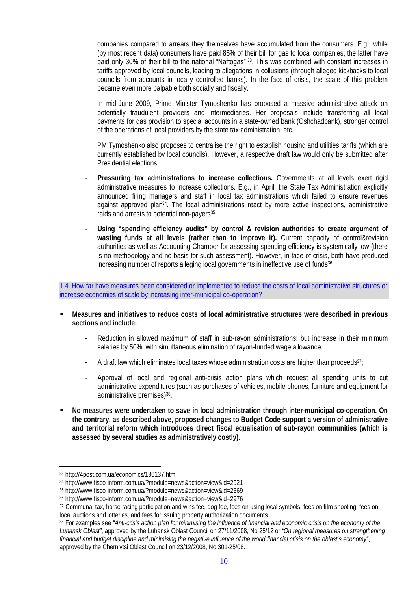companies compared to arrears they themselves have accumulated from the consumers. E.g., while (by most recent data) consumers have paid 85% of their bill for gas to local companies, the latter have paid only 30% of their bill to the national "Naftogas" 33. This was combined with constant increases in tariffs approved by local councils, leading to allegations in collusions (through alleged kickbacks to local councils from accounts in locally controlled banks). In the face of crisis, the scale of this problem became even more palpable both socially and fiscally.

In mid-June 2009, Prime Minister Tymoshenko has proposed a massive administrative attack on potentially fraudulent providers and intermediaries. Her proposals include transferring all local payments for gas provision to special accounts in a state-owned bank (Oshchadbank), stronger control of the operations of local providers by the state tax administration, etc.

PM Tymoshenko also proposes to centralise the right to establish housing and utilities tariffs (which are currently established by local councils). However, a respective draft law would only be submitted after Presidential elections.

- **Pressuring tax administrations to increase collections.** Governments at all levels exert rigid administrative measures to increase collections. E.g., in April, the State Tax Administration explicitly announced firing managers and staff in local tax administrations which failed to ensure revenues against approved plan34. The local administrations react by more active inspections, administrative raids and arrests to potential non-payers<sup>35</sup>.
- Using "spending efficiency audits" by control & revision authorities to create argument of **wasting funds at all levels (rather than to improve it).** Current capacity of control&revision authorities as well as Accounting Chamber for assessing spending efficiency is systemically low (there is no methodology and no basis for such assessment). However, in face of crisis, both have produced increasing number of reports alleging local governments in ineffective use of funds<sup>36</sup>.

1.4. How far have measures been considered or implemented to reduce the costs of local administrative structures or increase economies of scale by increasing inter-municipal co-operation?

- **Measures and initiatives to reduce costs of local administrative structures were described in previous sections and include:**
	- Reduction in allowed maximum of staff in sub-rayon administrations; but increase in their minimum salaries by 50%, with simultaneous elimination of rayon-funded wage allowance.
	- A draft law which eliminates local taxes whose administration costs are higher than proceeds $37$ ;
	- Approval of local and regional anti-crisis action plans which request all spending units to cut administrative expenditures (such as purchases of vehicles, mobile phones, furniture and equipment for administrative premises)<sup>38</sup>.
- **No measures were undertaken to save in local administration through inter-municipal co-operation. On the contrary, as described above, proposed changes to Budget Code support a version of administrative and territorial reform which introduces direct fiscal equalisation of sub-rayon communities (which is assessed by several studies as administratively costly).**

<sup>33</sup><http://4post.com.ua/economics/136137.html>

<sup>34</sup><http://www.fisco-inform.com.ua/?module=news&action=view&id=2921>

<sup>35</sup><http://www.fisco-inform.com.ua/?module=news&action=view&id=2369>

<sup>36</sup><http://www.fisco-inform.com.ua/?module=news&action=view&id=2976>

<sup>37</sup> Communal tax, horse racing participation and wins fee, dog fee, fees on using local symbols, fees on film shooting, fees on local auctions and lotteries, and fees for issuing property authorization documents.

<sup>38</sup> For examples see *"Anti-crisis action plan for minimising the influence of financial and economic crisis on the economy of the Luhansk Oblast"*, approved by the Luhansk Oblast Council on 27/11/2008, No 25/12 or *"On regional measures on strengthening financial and budget discipline and minimising the negative influence of the world financial crisis on the oblast's economy"*, approved by the Chernivtsi Oblast Council on 23/12/2008, No 301-25/08.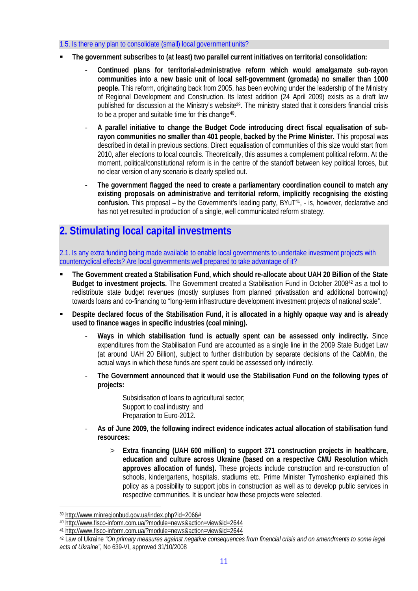## 1.5. Is there any plan to consolidate (small) local government units?

- **The government subscribes to (at least) two parallel current initiatives on territorial consolidation:**
	- **Continued plans for territorial-administrative reform which would amalgamate sub-rayon communities into a new basic unit of local self-government (gromada) no smaller than 1000 people.** This reform, originating back from 2005, has been evolving under the leadership of the Ministry of Regional Development and Construction. Its latest addition (24 April 2009) exists as a draft law published for discussion at the Ministry's website<sup>39</sup>. The ministry stated that it considers financial crisis to be a proper and suitable time for this change<sup>40</sup>.
	- **A parallel initiative to change the Budget Code introducing direct fiscal equalisation of subrayon communities no smaller than 401 people, backed by the Prime Minister.** This proposal was described in detail in previous sections. Direct equalisation of communities of this size would start from 2010, after elections to local councils. Theoretically, this assumes a complement political reform. At the moment, political/constitutional reform is in the centre of the standoff between key political forces, but no clear version of any scenario is clearly spelled out.
	- **The government flagged the need to create a parliamentary coordination council to match any existing proposals on administrative and territorial reform, implicitly recognising the existing** confusion. This proposal – by the Government's leading party, BYuT<sup>41</sup>, - is, however, declarative and has not yet resulted in production of a single, well communicated reform strategy.

# **2. Stimulating local capital investments**

2.1. Is any extra funding being made available to enable local governments to undertake investment projects with countercyclical effects? Are local governments well prepared to take advantage of it?

- **The Government created a Stabilisation Fund, which should re-allocate about UAH 20 Billion of the State Budget to investment projects.** The Government created a Stabilisation Fund in October 200842 as a tool to redistribute state budget revenues (mostly surpluses from planned privatisation and additional borrowing) towards loans and co-financing to "long-term infrastructure development investment projects of national scale".
- **Despite declared focus of the Stabilisation Fund, it is allocated in a highly opaque way and is already used to finance wages in specific industries (coal mining).**
	- **Ways in which stabilisation fund is actually spent can be assessed only indirectly.** Since expenditures from the Stabilisation Fund are accounted as a single line in the 2009 State Budget Law (at around UAH 20 Billion), subject to further distribution by separate decisions of the CabMin, the actual ways in which these funds are spent could be assessed only indirectly.
	- **The Government announced that it would use the Stabilisation Fund on the following types of projects:**

Subsidisation of loans to agricultural sector; Support to coal industry; and Preparation to Euro-2012.

- **As of June 2009, the following indirect evidence indicates actual allocation of stabilisation fund resources:**
	- > **Extra financing (UAH 600 million) to support 371 construction projects in healthcare, education and culture across Ukraine (based on a respective CMU Resolution which approves allocation of funds).** These projects include construction and re-construction of schools, kindergartens, hospitals, stadiums etc. Prime Minister Tymoshenko explained this policy as a possibility to support jobs in construction as well as to develop public services in respective communities. It is unclear how these projects were selected.

<sup>39</sup><http://www.minregionbud.gov.ua/index.php?id=2066#>

<sup>40</sup><http://www.fisco-inform.com.ua/?module=news&action=view&id=2644>

<sup>41</sup><http://www.fisco-inform.com.ua/?module=news&action=view&id=2644>

<sup>42</sup> Law of Ukraine *"On primary measures against negative consequences from financial crisis and on amendments to some legal acts of Ukraine"*, No 639-VI, approved 31/10/2008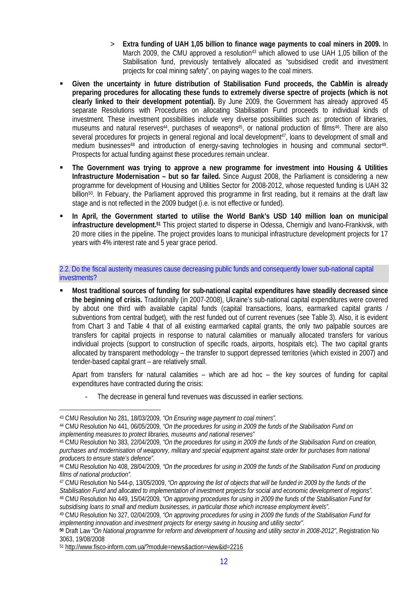- > **Extra funding of UAH 1,05 billion to finance wage payments to coal miners in 2009.** In March 2009, the CMU approved a resolution<sup>43</sup> which allowed to use UAH 1,05 billion of the Stabilisation fund, previously tentatively allocated as "subsidised credit and investment projects for coal mining safety", on paying wages to the coal miners.
- **Given the uncertainty in future distribution of Stabilisation Fund proceeds, the CabMin is already preparing procedures for allocating these funds to extremely diverse spectre of projects (which is not clearly linked to their development potential).** By June 2009, the Government has already approved 45 separate Resolutions with Procedures on allocating Stabilisation Fund proceeds to individual kinds of investment. These investment possibilities include very diverse possibilities such as: protection of libraries, museums and natural reserves<sup>44</sup>, purchases of weapons<sup>45</sup>, or national production of films<sup>46</sup>. There are also several procedures for projects in general regional and local development<sup>47</sup>, loans to development of small and medium businesses<sup>48</sup> and introduction of energy-saving technologies in housing and communal sector<sup>49</sup>. Prospects for actual funding against these procedures remain unclear.
- **The Government was trying to approve a new programme for investment into Housing & Utilities Infrastructure Modernisation – but so far failed.** Since August 2008, the Parliament is considering a new programme for development of Housing and Utilities Sector for 2008-2012, whose requested funding is UAH 32 billion<sup>50</sup>. In Febuary, the Parliament approved this programme in first reading, but it remains at the draft law stage and is not reflected in the 2009 budget (i.e. is not effective or funded).
- **In April, the Government started to utilise the World Bank's USD 140 million loan on municipal infrastructure development.<sup>51</sup>** This project started to disperse in Odessa, Chernigiv and Ivano-Frankivsk, with 20 more cities in the pipeline. The project provides loans to municipal infrastructure development projects for 17 years with 4% interest rate and 5 year grace period.

## 2.2. Do the fiscal austerity measures cause decreasing public funds and consequently lower sub-national capital investments?

 **Most traditional sources of funding for sub-national capital expenditures have steadily decreased since the beginning of crisis.** Traditionally (in 2007-2008), Ukraine's sub-national capital expenditures were covered by about one third with available capital funds (capital transactions, loans, earmarked capital grants / subventions from central budget), with the rest funded out of current revenues (see Table 3). Also, it is evident from Chart 3 and Table 4 that of all existing earmarked capital grants, the only two palpable sources are transfers for capital projects in response to natural calamities or manually allocated transfers for various individual projects (support to construction of specific roads, airports, hospitals etc). The two capital grants allocated by transparent methodology – the transfer to support depressed territories (which existed in 2007) and tender-based capital grant – are relatively small.

Apart from transfers for natural calamities – which are ad hoc – the key sources of funding for capital expenditures have contracted during the crisis:

The decrease in general fund revenues was discussed in earlier sections.

<sup>43</sup> CMU Resolution No 281, 18/03/2009, *"On Ensuring wage payment to coal miners".*

<sup>44</sup> CMU Resolution No 441, 06/05/2009, *"On the procedures for using in 2009 the funds of the Stabilisation Fund on implementing measures to protect libraries, museums and national reserves"*

<sup>45</sup> CMU Resolution No 383, 22/04/2009, *"On the procedures for using in 2009 the funds of the Stabilisation Fund on creation, purchases and modernisation of weaponry, military and special equipment against state order for purchases from national producers to ensure state's defence".*

<sup>46</sup> CMU Resolution No 408, 28/04/2009, *"On the procedures for using in 2009 the funds of the Stabilisation Fund on producing films of national production".*

<sup>47</sup> CMU Resolution No 544-p, 13/05/2009, *"On approving the list of objects that will be funded in 2009 by the funds of the Stabilisation Fund and allocated to implementation of investment projects for social and economic development of regions".* <sup>48</sup> CMU Resolution No 449, 15/04/2009, *"On approving procedures for using in 2009 the funds of the Stabilisation Fund for*

*subsidising loans to small and medium businesses, in particular those which increase employment levels".* <sup>49</sup> CMU Resolution No 327, 02/04/2009, *"On approving procedures for using in 2009 the funds of the Stabilisation Fund for*

*implementing innovation and investment projects for energy saving in housing and utility sector".*

**<sup>50</sup>** Draft Law *"On National programme for reform and development of housing and utility sector in 2008-2012"*, Registration No 3063, 19/08/2008

<sup>51</sup><http://www.fisco-inform.com.ua/?module=news&action=view&id=2216>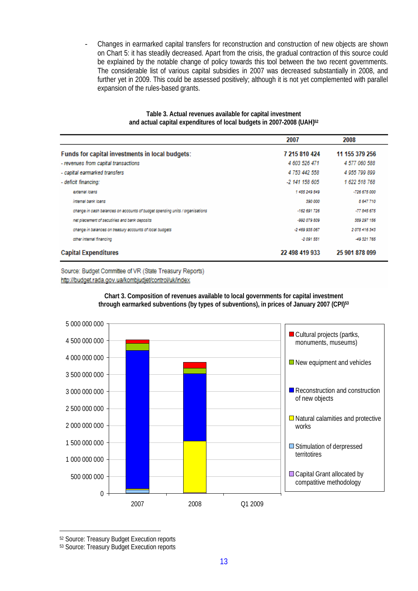- Changes in earmarked capital transfers for reconstruction and construction of new objects are shown on Chart 5: it has steadily decreased. Apart from the crisis, the gradual contraction of this source could be explained by the notable change of policy towards this tool between the two recent governments. The considerable list of various capital subsidies in 2007 was decreased substantially in 2008, and further yet in 2009. This could be assessed positively; although it is not yet complemented with parallel expansion of the rules-based grants.

|                                                                              | 2007           | 2008           |
|------------------------------------------------------------------------------|----------------|----------------|
| Funds for capital investments in local budgets:                              | 7 215 810 424  | 11 155 379 256 |
| - revenues from capital transactions                                         | 4 603 526 471  | 4 577 060 588  |
| - capital earmarked transfers                                                | 4 753 442 558  | 4 055 700 800  |
| - deficit financing:                                                         | -2 141 158 605 | 1 622 518 768  |
| external loans                                                               | 1485 249 549   | $-726675000$   |
| internal bank loans                                                          | 390 000        | 8 647 710      |
| change in cash balances on accounts of budget spending units / organisations | $-162691726$   | $-77845675$    |
| net placement of secutiries and bank deposits                                | -992 079 809   | 389 297 156    |
| change in balances on treasury accounts of local budgets                     | $-2469935067$  | 2078 416 343   |
| other internal financing                                                     | $-2091551$     | -49 321 765    |
| <b>Capital Expenditures</b>                                                  | 22 498 419 933 | 25 901 878 099 |

**Table 3. Actual revenues available for capital investment and actual capital expenditures of local budgets in 2007-2008 (UAH)<sup>52</sup>**

Source: Budget Committee of VR (State Treasury Reports) http://budget.rada.gov.ua/kombjudjet/control/uk/index

> **Chart 3. Composition of revenues available to local governments for capital investment through earmarked subventions (by types of subventions), in prices of January 2007 (CPI)<sup>53</sup>**



<sup>52</sup> Source: Treasury Budget Execution reports

53 Source: Treasury Budget Execution reports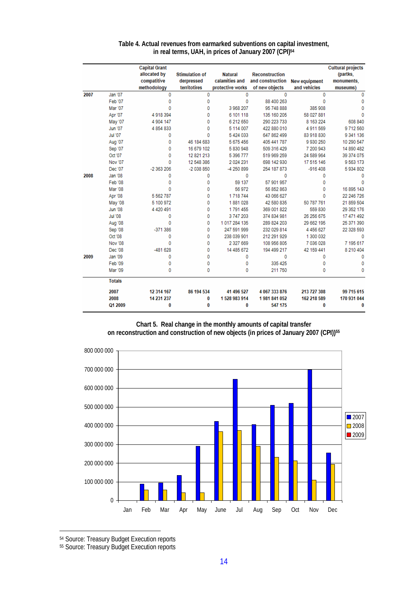|      |                           | <b>Capital Grant</b><br>allocated by<br>compatitive | <b>Stimulation of</b><br>derpressed | <b>Natural</b><br>calamities and | <b>Reconstruction</b><br>and construction New equipment |                         | <b>Cultural projects</b><br>(partks,<br>monuments. |
|------|---------------------------|-----------------------------------------------------|-------------------------------------|----------------------------------|---------------------------------------------------------|-------------------------|----------------------------------------------------|
|      |                           | methodology                                         | territotires                        | protective works                 | of new objects<br>$\mathbf{0}$                          | and vehicles            | museums)                                           |
| 2007 | Jan '07<br><b>Feb '07</b> | 0<br>0                                              | 0                                   | 0<br>0                           | 88 400 263                                              | 0<br>$\mathbf{0}$       | 0                                                  |
|      | Mar '07                   | Ō                                                   | 0<br>0                              | 3 968 207                        | 95 748 888                                              | 385 908                 | 0<br>0                                             |
|      |                           |                                                     |                                     |                                  |                                                         |                         | o                                                  |
|      | Apr '07                   | 4 9 18 3 9 4                                        | 0                                   | 6 101 118                        | 135 160 205<br>290 223 733                              | 58 027 881<br>8 163 224 | 608 840                                            |
|      | May '07                   | 4 904 147                                           | 0                                   | 6 212 650                        |                                                         |                         |                                                    |
|      | <b>Jun '07</b>            | 4 8 5 4 8 3 3                                       | 0                                   | 5 114 007                        | 422 880 010                                             | 4 9 1 1 5 6 9           | 9712560                                            |
|      | <b>Jul '07</b>            | Ō                                                   | Ō                                   | 5 424 033                        | 647 862 499                                             | 83 918 830              | 9 341 136                                          |
|      | Aug '07                   | 0                                                   | 46 184 683                          | 5 675 456                        | 405 441 787                                             | 9 9 3 0 2 5 0           | 10 290 547                                         |
|      | Sep '07                   | ٥                                                   | 16 679 102                          | 5 830 948                        | 509 316 429                                             | 7 200 943               | 14 890 482                                         |
|      | Oct '07                   | Ō                                                   | 12 821 213                          | 5 396 777                        | 519 969 259                                             | 24 589 964              | 39 374 075                                         |
|      | <b>Nov '07</b>            | 0                                                   | 12 548 386                          | 2 0 2 4 2 3 1                    | 698 142 930                                             | 17 515 146              | 9563173                                            |
|      | Dec '07                   | $-2363206$                                          | $-2038850$                          | -4 250 899                       | 254 187 873                                             | $-916408$               | 5934802                                            |
| 2008 | Jan '08                   | ٥                                                   | 0                                   | 0                                | 0                                                       | 0                       | 0                                                  |
|      | <b>Feb '08</b>            | 0                                                   | 0                                   | 59 137                           | 57 901 957                                              | 0                       | $\Omega$                                           |
|      | <b>Mar '08</b>            | ٥                                                   | 0                                   | 56 972                           | 56 852 863                                              | $\bf{0}$                | 16 895 143                                         |
|      | Apr '08                   | 5 5 6 2 7 8 7                                       | 0                                   | 1718744                          | 43 066 627                                              | 0                       | 22 246 726                                         |
|      | <b>May '08</b>            | 5 100 972                                           | 0                                   | 1881028                          | 42 580 835                                              | 50 787 761              | 21 859 504                                         |
|      | <b>Jun '08</b>            | 4 4 20 4 91                                         | 0                                   | 1791455                          | 369 001 822                                             | 559 830                 | 29 352 176                                         |
|      | <b>Jul '08</b>            | ٥                                                   | 0                                   | 3747203                          | 374 834 981                                             | 26 256 675              | 17 471 492                                         |
|      | Aug '08                   | ٥                                                   | 0                                   | 1017 284 135                     | 289 824 203                                             | 29 662 195              | 25 371 390                                         |
|      | Sep '08                   | $-371.386$                                          | 0                                   | 247 591 999                      | 232 029 814                                             | 4 456 627               | 22 328 593                                         |
|      | Oct '08                   | ٥                                                   | 0                                   | 238 039 901                      | 212 291 929                                             | 1 300 032               | $\mathbf{0}$                                       |
|      | <b>Nov '08</b>            | $\bf{0}$                                            | 0                                   | 2 327 669                        | 108 956 805                                             | 7 036 028               | 7 195 617                                          |
|      | Dec '08                   | $-481628$                                           | 0                                   | 14 485 672                       | 194 499 217                                             | 42 159 441              | 8 210 404                                          |
| 2009 | Jan '09                   | 0                                                   | 0                                   | 0                                | 0                                                       | $\mathbf{0}$            | 0                                                  |
|      | Feb '09                   | 0                                                   | 0                                   | 0                                | 335 425                                                 | 0                       | $\bf{0}$                                           |
|      | Mar '09                   | 0                                                   | 0                                   | 0                                | 211 750                                                 | 0                       | 0                                                  |
|      | <b>Totals</b>             |                                                     |                                     |                                  |                                                         |                         |                                                    |
|      | 2007                      | 12 314 167                                          | 86 194 534                          | 41 496 527                       | 4 067 333 876                                           | 213 727 308             | 99 715 615                                         |
|      | 2008                      | 14 231 237                                          | 0                                   | 1528983914                       | 1981 841 052                                            | 162 218 589             | 170 931 044                                        |
|      | Q1 2009                   | 0                                                   | 0                                   | 0                                | 547 175                                                 | $\bf{0}$                | 0                                                  |

#### **Table 4. Actual revenues from earmarked subventions on capital investment, in real terms, UAH, in prices of January 2007 (CPI)<sup>54</sup>**

**Chart 5. Real change in the monthly amounts of capital transfer**

**on reconstruction and construction of new objects (in prices of January 2007 (CPI))<sup>55</sup>**



<sup>54</sup> Source: Treasury Budget Execution reports

55 Source: Treasury Budget Execution reports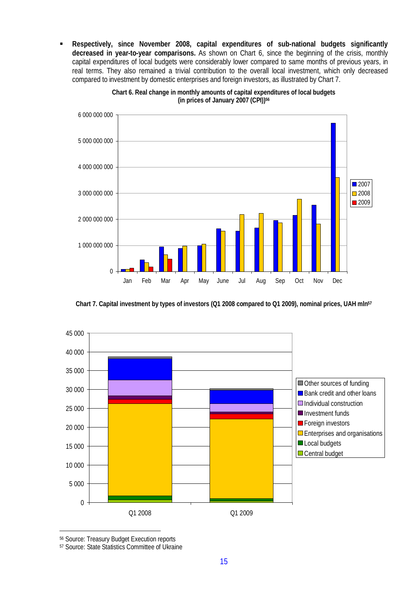**Respectively, since November 2008, capital expenditures of sub-national budgets significantly decreased in year-to-year comparisons.** As shown on Chart 6, since the beginning of the crisis, monthly capital expenditures of local budgets were considerably lower compared to same months of previous years, in real terms. They also remained a trivial contribution to the overall local investment, which only decreased compared to investment by domestic enterprises and foreign investors, as illustrated by Chart 7.



**Chart 6. Real change in monthly amounts of capital expenditures of local budgets (in prices of January 2007 (CPI))<sup>56</sup>**

**Chart 7. Capital investment by types of investors (Q1 2008 compared to Q1 2009), nominal prices, UAH mln<sup>57</sup>**



<sup>56</sup> Source: Treasury Budget Execution reports

<sup>57</sup> Source: State Statistics Committee of Ukraine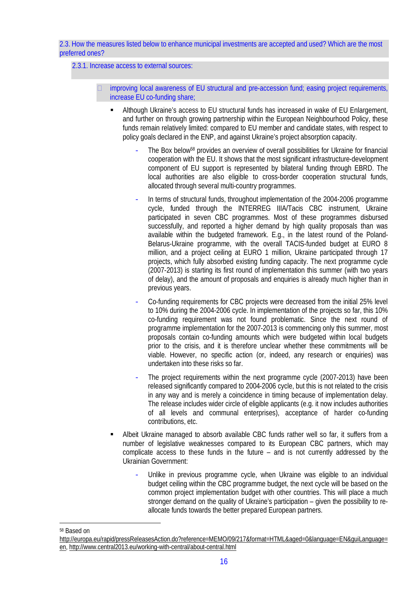2.3. How the measures listed below to enhance municipal investments are accepted and used? Which are the most preferred ones?

2.3.1. Increase access to external sources:

- improving local awareness of EU structural and pre-accession fund; easing project requirements, increase EU co-funding share;
	- Although Ukraine's access to EU structural funds has increased in wake of EU Enlargement, and further on through growing partnership within the European Neighbourhood Policy, these funds remain relatively limited: compared to EU member and candidate states, with respect to policy goals declared in the ENP, and against Ukraine's project absorption capacity.
		- The Box below<sup>58</sup> provides an overview of overall possibilities for Ukraine for financial cooperation with the EU. It shows that the most significant infrastructure-development component of EU support is represented by bilateral funding through EBRD. The local authorities are also eligible to cross-border cooperation structural funds, allocated through several multi-country programmes.
		- In terms of structural funds, throughout implementation of the 2004-2006 programme cycle, funded through the INTERREG IIIA/Tacis CBC instrument, Ukraine participated in seven CBC programmes. Most of these programmes disbursed successfully, and reported a higher demand by high quality proposals than was available within the budgeted framework. E.g., in the latest round of the Poland-Belarus-Ukraine programme, with the overall TACIS-funded budget at EURO 8 million, and a project ceiling at EURO 1 million, Ukraine participated through 17 projects, which fully absorbed existing funding capacity. The next programme cycle (2007-2013) is starting its first round of implementation this summer (with two years of delay), and the amount of proposals and enquiries is already much higher than in previous years.
		- Co-funding requirements for CBC projects were decreased from the initial 25% level to 10% during the 2004-2006 cycle. In implementation of the projects so far, this 10% co-funding requirement was not found problematic. Since the next round of programme implementation for the 2007-2013 is commencing only this summer, most proposals contain co-funding amounts which were budgeted within local budgets prior to the crisis, and it is therefore unclear whether these commitments will be viable. However, no specific action (or, indeed, any research or enquiries) was undertaken into these risks so far.
		- The project requirements within the next programme cycle (2007-2013) have been released significantly compared to 2004-2006 cycle, but this is not related to the crisis in any way and is merely a coincidence in timing because of implementation delay. The release includes wider circle of eligible applicants (e.g. it now includes authorities of all levels and communal enterprises), acceptance of harder co-funding contributions, etc.
	- Albeit Ukraine managed to absorb available CBC funds rather well so far, it suffers from a number of legislative weaknesses compared to its European CBC partners, which may complicate access to these funds in the future – and is not currently addressed by the Ukrainian Government:
		- Unlike in previous programme cycle, when Ukraine was eligible to an individual budget ceiling within the CBC programme budget, the next cycle will be based on the common project implementation budget with other countries. This will place a much stronger demand on the quality of Ukraine's participation – given the possibility to reallocate funds towards the better prepared European partners.

<sup>58</sup> Based on

<http://europa.eu/rapid/pressReleasesAction.do?reference=MEMO/09/217&format=HTML&aged=0&language=EN&guiLanguage=> en, <http://www.central2013.eu/working-with-central/about-central.html>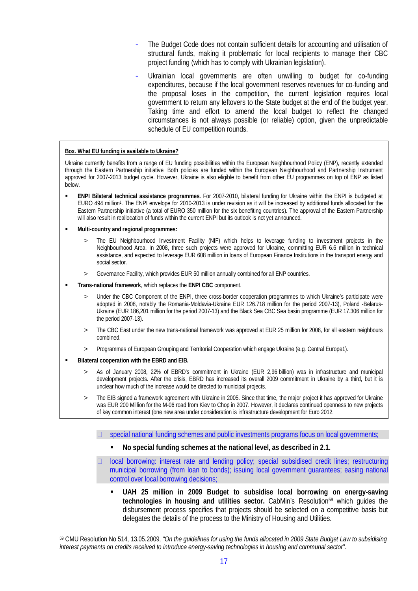- The Budget Code does not contain sufficient details for accounting and utilisation of structural funds, making it problematic for local recipients to manage their CBC project funding (which has to comply with Ukrainian legislation).
- Ukrainian local governments are often unwilling to budget for co-funding expenditures, because if the local government reserves revenues for co-funding and the proposal loses in the competition, the current legislation requires local government to return any leftovers to the State budget at the end of the budget year. Taking time and effort to amend the local budget to reflect the changed circumstances is not always possible (or reliable) option, given the unpredictable schedule of EU competition rounds.

#### **Box. What EU funding is available to Ukraine?**

Ukraine currently benefits from a range of EU funding possibilities within the European Neighbourhood Policy (ENP), recently extended through the Eastern Partnership initiative. Both policies are funded within the European Neighbourhood and Partnership Instrument approved for 2007-2013 budget cycle. However, Ukraine is also eligible to benefit from other EU programmes on top of ENP as listed below.

- **ENPI Bilateral technical assistance programmes.** For 2007-2010, bilateral funding for Ukraine within the ENPI is budgeted at EURO 494 million<sup>1</sup>. The ENPI envelope for 2010-2013 is under revision as it will be increased by additional funds allocated for the Eastern Partnership initiative (a total of EURO 350 million for the six benefiting countries). The approval of the Eastern Partnership will also result in reallocation of funds within the current ENPI but its outlook is not yet announced.
- **Multi-country and regional programmes:**
	- > The EU Neighbourhood Investment Facility (NIF) which helps to leverage funding to investment projects in the Neighbourhood Area. In 2008, three such projects were approved for Ukraine, committing EUR 6.6 million in technical assistance, and expected to leverage EUR 608 million in loans of European Finance Institutions in the transport energy and social sector.
	- > Governance Facility, which provides EUR 50 million annually combined for all ENP countries.
- **Trans-national framework**, which replaces the **ENPI CBC** component.
	- Under the CBC Component of the ENPI, three cross-border cooperation programmes to which Ukraine's participate were adopted in 2008, notably the Romania-Moldavia-Ukraine EUR 126.718 million for the period 2007-13), Poland -Belarus-Ukraine (EUR 186,201 million for the period 2007-13) and the Black Sea CBC Sea basin programme (EUR 17.306 million for the period 2007-13).
	- The CBC East under the new trans-national framework was approved at EUR 25 million for 2008, for all eastern neighbours combined.
	- > Programmes of European Grouping and Territorial Cooperation which engage Ukraine (e.g. Central Europe1).
- **Bilateral cooperation with the EBRD and EIB.**
	- As of January 2008, 22% of EBRD's commitment in Ukraine (EUR 2,96 billion) was in infrastructure and municipal development projects. After the crisis, EBRD has increased its overall 2009 commitment in Ukraine by a third, but it is unclear how much of the increase would be directed to municipal projects.
	- The EIB signed a framework agreement with Ukraine in 2005. Since that time, the major project it has approved for Ukraine was EUR 200 Million for the M-06 road from Kiev to Chop in 2007. However, it declares continued openness to new projects of key common interest (one new area under consideration is infrastructure development for Euro 2012.
		- $\Box$  special national funding schemes and public investments programs focus on local governments;
			- **No special funding schemes at the national level, as described in 2.1.**
		- local borrowing: interest rate and lending policy; special subsidised credit lines; restructuring municipal borrowing (from loan to bonds); issuing local government guarantees; easing national control over local borrowing decisions;
			- **UAH 25 million in 2009 Budget to subsidise local borrowing on energy-saving technologies in housing and utilities sector.** CabMin's Resolution59 which guides the disbursement process specifies that projects should be selected on a competitive basis but delegates the details of the process to the Ministry of Housing and Utilities.

<sup>59</sup> CMU Resolution No 514, 13.05.2009, *"On the guidelines for using the funds allocated in 2009 State Budget Law to subsidising interest payments on credits received to introduce energy-saving technologies in housing and communal sector"*.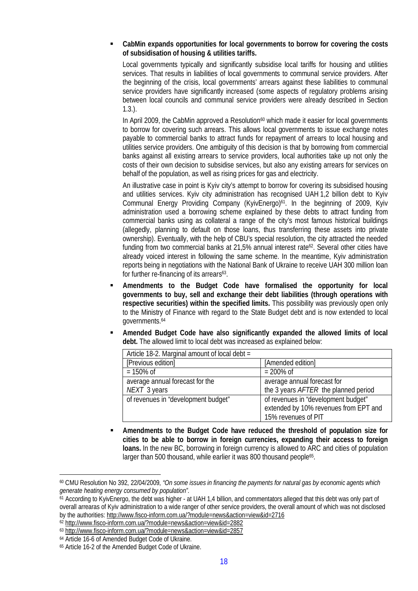**CabMin expands opportunities for local governments to borrow for covering the costs of subsidisation of housing & utilities tariffs.**

Local governments typically and significantly subsidise local tariffs for housing and utilities services. That results in liabilities of local governments to communal service providers. After the beginning of the crisis, local governments' arrears against these liabilities to communal service providers have significantly increased (some aspects of regulatory problems arising between local councils and communal service providers were already described in Section 1.3.).

In April 2009, the CabMin approved a Resolution $60$  which made it easier for local governments to borrow for covering such arrears. This allows local governments to issue exchange notes payable to commercial banks to attract funds for repayment of arrears to local housing and utilities service providers. One ambiguity of this decision is that by borrowing from commercial banks against all existing arrears to service providers, local authorities take up not only the costs of their own decision to subsidise services, but also any existing arrears for services on behalf of the population, as well as rising prices for gas and electricity.

An illustrative case in point is Kyiv city's attempt to borrow for covering its subsidised housing and utilities services. Kyiv city administration has recognised UAH 1,2 billion debt to Kyiv Communal Energy Providing Company (KyivEnergo)<sup>61</sup>. In the beginning of 2009, Kyiv administration used a borrowing scheme explained by these debts to attract funding from commercial banks using as collateral a range of the city's most famous historical buildings (allegedly, planning to default on those loans, thus transferring these assets into private ownership). Eventually, with the help of CBU's special resolution, the city attracted the needed funding from two commercial banks at 21,5% annual interest rate<sup>62</sup>. Several other cities have already voiced interest in following the same scheme. In the meantime, Kyiv administration reports being in negotiations with the National Bank of Ukraine to receive UAH 300 million loan for further re-financing of its arrears<sup>63</sup>.

- **Amendments to the Budget Code have formalised the opportunity for local governments to buy, sell and exchange their debt liabilities (through operations with respective securities) within the specified limits.** This possibility was previously open only to the Ministry of Finance with regard to the State Budget debt and is now extended to local governments.<sup>64</sup>
- **Amended Budget Code have also significantly expanded the allowed limits of local debt.** The allowed limit to local debt was increased as explained below:

| Article 18-2. Marginal amount of local debt = |                                       |
|-----------------------------------------------|---------------------------------------|
| [Previous edition]                            | [Amended edition]                     |
| $= 150\% \text{ of }$                         | $= 200\% \text{ of }$                 |
| average annual forecast for the               | average annual forecast for           |
| NEXT 3 years                                  | the 3 years AFTER the planned period  |
| of revenues in "development budget"           | of revenues in "development budget"   |
|                                               | extended by 10% revenues from EPT and |
|                                               | 15% revenues of PIT                   |

 **Amendments to the Budget Code have reduced the threshold of population size for cities to be able to borrow in foreign currencies, expanding their access to foreign loans.** In the new BC, borrowing in foreign currency is allowed to ARC and cities of population larger than 500 thousand, while earlier it was 800 thousand people<sup>65</sup>.

<sup>60</sup> CMU Resolution No 392, 22/04/2009, *"On some issues in financing the payments for natural gas by economic agents which generate heating energy consumed by population".*

 $61$  According to KyivEnergo, the debt was higher - at UAH 1.4 billion, and commentators alleged that this debt was only part of overall arrearas of Kyiv administration to a wide ranger of other service providers, the overall amount of which was not disclosed by the authorities:<http://www.fisco-inform.com.ua/?module=news&action=view&id=2716>

<sup>62</sup><http://www.fisco-inform.com.ua/?module=news&action=view&id=2882>

<sup>63</sup><http://www.fisco-inform.com.ua/?module=news&action=view&id=2857>

<sup>64</sup> Article 16-6 of Amended Budget Code of Ukraine.

<sup>65</sup> Article 16-2 of the Amended Budget Code of Ukraine.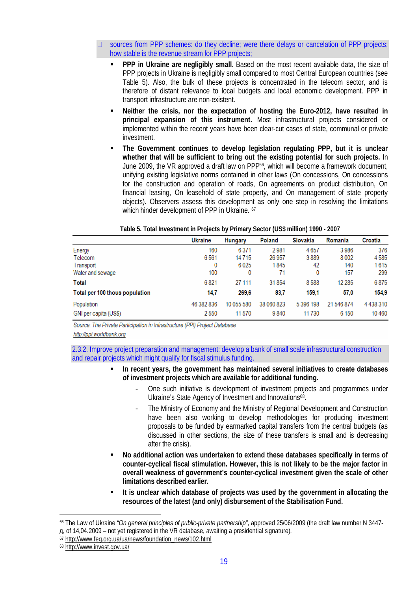sources from PPP schemes: do they decline; were there delays or cancelation of PPP projects; how stable is the revenue stream for PPP projects;

- **PPP in Ukraine are negligibly small.** Based on the most recent available data, the size of PPP projects in Ukraine is negligibly small compared to most Central European countries (see Table 5). Also, the bulk of these projects is concentrated in the telecom sector, and is therefore of distant relevance to local budgets and local economic development. PPP in transport infrastructure are non-existent.
- **Neither the crisis, nor the expectation of hosting the Euro-2012, have resulted in principal expansion of this instrument.** Most infrastructural projects considered or implemented within the recent years have been clear-cut cases of state, communal or private investment.
- **The Government continues to develop legislation regulating PPP, but it is unclear whether that will be sufficient to bring out the existing potential for such projects.** In June 2009, the VR approved a draft law on PPP66, which will become a framework document, unifying existing legislative norms contained in other laws (On concessions, On concessions for the construction and operation of roads, On agreements on product distribution, On financial leasing, On leasehold of state property, and On management of state property objects). Observers assess this development as only one step in resolving the limitations which hinder development of PPP in Ukraine. <sup>67</sup>

|                                | <b>Ukraine</b> | <b>Hungary</b> | Poland     | Slovakia  | Romania    | Croatia       |
|--------------------------------|----------------|----------------|------------|-----------|------------|---------------|
| Energy                         | 160            | 6371           | 2981       | 4657      | 3986       | 376           |
| Telecom                        | 6561           | 14715          | 26 957     | 3889      | 8002       | 4585          |
| Transport                      | 0              | 6025           | 1845       | 42        | 140        | 1615          |
| Water and sewage               | 100            | 0              | 71         | 0         | 157        | 299           |
| Total                          | 6821           | 27 111         | 31854      | 8588      | 12 2 8 5   | 6875          |
| Total per 100 thous population | 14.7           | 269.6          | 83,7       | 159.1     | 57.0       | 154.9         |
| Population                     | 46 382 836     | 10 055 580     | 38 060 823 | 5 396 198 | 21 546 874 | 4 4 3 8 3 1 0 |
| GNI per capita (US\$)          | 2550           | 11570          | 9840       | 11730     | 6 1 5 0    | 10460         |

**Table 5. Total Investment in Projects by Primary Sector (US\$ million) 1990 - 2007**

Source: The Private Participation in Infrastructure (PPI) Project Database

http://ppi.worldbank.org

2.3.2. Improve project preparation and management: develop a bank of small scale infrastructural construction and repair projects which might qualify for fiscal stimulus funding.

- **In recent years, the government has maintained several initiatives to create databases of investment projects which are available for additional funding.**
	- One such initiative is development of investment projects and programmes under Ukraine's State Agency of Investment and Innovations<sup>68</sup>.
	- The Ministry of Economy and the Ministry of Regional Development and Construction have been also working to develop methodologies for producing investment proposals to be funded by earmarked capital transfers from the central budgets (as discussed in other sections, the size of these transfers is small and is decreasing after the crisis).
- **No additional action was undertaken to extend these databases specifically in terms of counter-cyclical fiscal stimulation. However, this is not likely to be the major factor in overall weakness of government's counter-cyclical investment given the scale of other limitations described earlier.**
- **It is unclear which database of projects was used by the government in allocating the resources of the latest (and only) disbursement of the Stabilisation Fund.**

<sup>66</sup> The Law of Ukraine *"On general principles of public-private partnership"*, approved 25/06/2009 (the draft law number N 3447 ɞ, of 14,04.2009 – not yet registered in the VR database, awaiting a presidential signature).

<sup>67</sup> [http://www.feg.org.ua/ua/news/foundation\\_news/102.html](http://www.feg.org.ua/ua/news/foundation_news/102.html)

<sup>68</sup><http://www.invest.gov.ua/>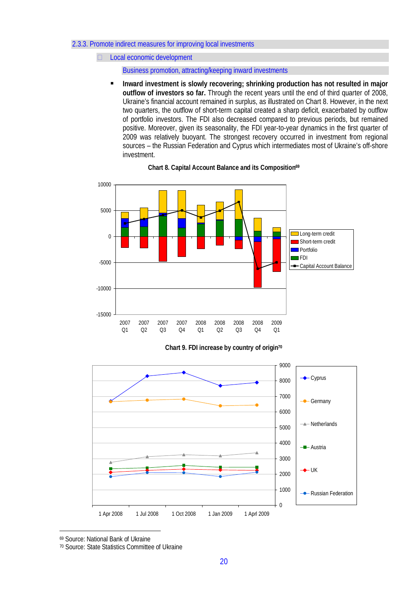### 2.3.3. Promote indirect measures for improving local investments

Local economic development

Business promotion, attracting/keeping inward investments

**Inward investment is slowly recovering; shrinking production has not resulted in major outflow of investors so far.** Through the recent years until the end of third quarter of 2008, Ukraine's financial account remained in surplus, as illustrated on Chart 8. However, in the next two quarters, the outflow of short-term capital created a sharp deficit, exacerbated by outflow of portfolio investors. The FDI also decreased compared to previous periods, but remained positive. Moreover, given its seasonality, the FDI year-to-year dynamics in the first quarter of 2009 was relatively buoyant. The strongest recovery occurred in investment from regional sources – the Russian Federation and Cyprus which intermediates most of Ukraine's off-shore investment.



**Chart 8. Capital Account Balance and its Composition<sup>69</sup>**

**Chart 9. FDI increase by country of origin<sup>70</sup>**



<sup>69</sup> Source: National Bank of Ukraine

70 Source: State Statistics Committee of Ukraine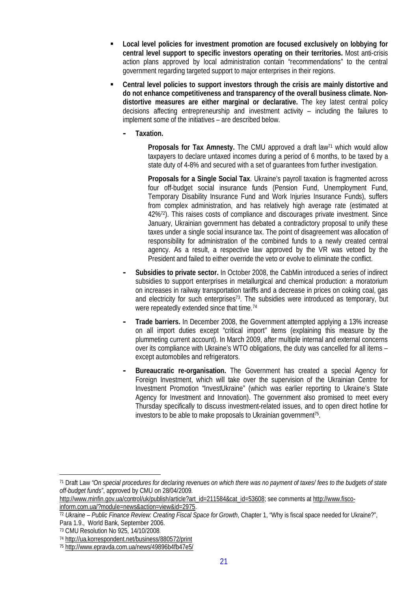- **Local level policies for investment promotion are focused exclusively on lobbying for central level support to specific investors operating on their territories.** Most anti-crisis action plans approved by local administration contain "recommendations" to the central government regarding targeted support to major enterprises in their regions.
- **Central level policies to support investors through the crisis are mainly distortive and do not enhance competitiveness and transparency of the overall business climate. Nondistortive measures are either marginal or declarative.** The key latest central policy decisions affecting entrepreneurship and investment activity – including the failures to implement some of the initiatives – are described below.
	- **- Taxation.**

Proposals for Tax Amnesty. The CMU approved a draft law<sup>71</sup> which would allow taxpayers to declare untaxed incomes during a period of 6 months, to be taxed by a state duty of 4-8% and secured with a set of guarantees from further investigation.

**Proposals for a Single Social Tax**. Ukraine's payroll taxation is fragmented across four off-budget social insurance funds (Pension Fund, Unemployment Fund, Temporary Disability Insurance Fund and Work Injuries Insurance Funds), suffers from complex administration, and has relatively high average rate (estimated at 42%72). This raises costs of compliance and discourages private investment. Since January, Ukrainian government has debated a contradictory proposal to unify these taxes under a single social insurance tax. The point of disagreement was allocation of responsibility for administration of the combined funds to a newly created central agency. As a result, a respective law approved by the VR was vetoed by the President and failed to either override the veto or evolve to eliminate the conflict.

- **- Subsidies to private sector.** In October 2008, the CabMin introduced a series of indirect subsidies to support enterprises in metallurgical and chemical production: a moratorium on increases in railway transportation tariffs and a decrease in prices on coking coal, gas and electricity for such enterprises<sup>73</sup>. The subsidies were introduced as temporary, but were repeatedly extended since that time.<sup>74</sup>
- **- Trade barriers.** In December 2008, the Government attempted applying a 13% increase on all import duties except "critical import" items (explaining this measure by the plummeting current account). In March 2009, after multiple internal and external concerns over its compliance with Ukraine's WTO obligations, the duty was cancelled for all items – except automobiles and refrigerators.
- **- Bureaucratic re-organisation.** The Government has created a special Agency for Foreign Investment, which will take over the supervision of the Ukrainian Centre for Investment Promotion "InvestUkraine" (which was earlier reporting to Ukraine's State Agency for Investment and Innovation). The government also promised to meet every Thursday specifically to discuss investment-related issues, and to open direct hotline for investors to be able to make proposals to Ukrainian government<sup>75</sup>.

<sup>71</sup> Draft Law *"On special procedures for declaring revenues on which there was no payment of taxes/ fees to the budgets of state off-budget funds"*, approved by CMU on 28/04/2009.

[http://www.minfin.gov.ua/control/uk/publish/article?art\\_id=211584&cat\\_id=53608;](http://www.minfin.gov.ua/control/uk/publish/article?art_id=211584&cat_id=53608;) see comments at<http://www.fisco->

inform.com.ua/?module=news&action=view&id=2975.

<sup>72</sup> *Ukraine – Public Finance Review: Creating Fiscal Space for Growth*, Chapter 1, "Why is fiscal space needed for Ukraine?", Para 1.9., World Bank, September 2006.

<sup>73</sup> CMU Resolution No 925, 14/10/2008.

<sup>74</sup><http://ua.korrespondent.net/business/880572/print>

<sup>75</sup><http://www.epravda.com.ua/news/49896b4fb47e5/>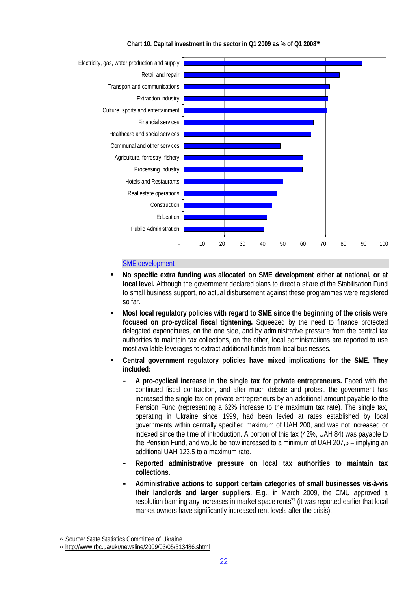

**Chart 10. Capital investment in the sector in Q1 2009 as % of Q1 2008<sup>76</sup>**

## SME development

- **No specific extra funding was allocated on SME development either at national, or at local level.** Although the government declared plans to direct a share of the Stabilisation Fund to small business support, no actual disbursement against these programmes were registered so far.
- **Most local regulatory policies with regard to SME since the beginning of the crisis were focused on pro-cyclical fiscal tightening.** Squeezed by the need to finance protected delegated expenditures, on the one side, and by administrative pressure from the central tax authorities to maintain tax collections, on the other, local administrations are reported to use most available leverages to extract additional funds from local businesses.
- **Central government regulatory policies have mixed implications for the SME. They included:**
	- **- A pro-cyclical increase in the single tax for private entrepreneurs.** Faced with the continued fiscal contraction, and after much debate and protest, the government has increased the single tax on private entrepreneurs by an additional amount payable to the Pension Fund (representing a 62% increase to the maximum tax rate). The single tax, operating in Ukraine since 1999, had been levied at rates established by local governments within centrally specified maximum of UAH 200, and was not increased or indexed since the time of introduction. A portion of this tax (42%, UAH 84) was payable to the Pension Fund, and would be now increased to a minimum of UAH 207,5 – implying an additional UAH 123,5 to a maximum rate.
	- **- Reported administrative pressure on local tax authorities to maintain tax collections.**
	- **- Administrative actions to support certain categories of small businesses vis-à-vis their landlords and larger suppliers**. E.g., in March 2009, the CMU approved a resolution banning any increases in market space rents<sup>77</sup> (it was reported earlier that local market owners have significantly increased rent levels after the crisis).

<sup>76</sup> Source: State Statistics Committee of Ukraine

<sup>77</sup><http://www.rbc.ua/ukr/newsline/2009/03/05/513486.shtml>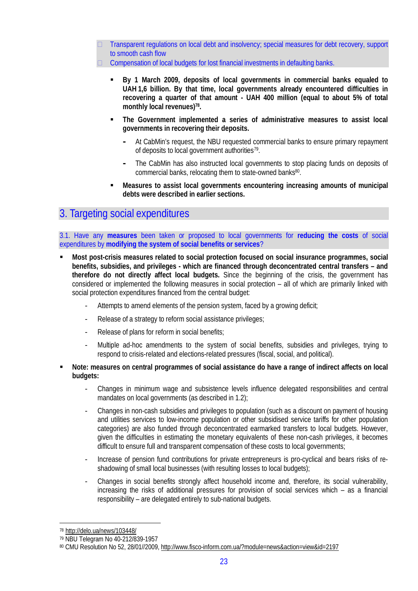- Transparent regulations on local debt and insolvency; special measures for debt recovery, support to smooth cash flow
- $\Box$  Compensation of local budgets for lost financial investments in defaulting banks.
	- **By 1 March 2009, deposits of local governments in commercial banks equaled to UAH 1,6 billion. By that time, local governments already encountered difficulties in recovering a quarter of that amount - UAH 400 million (equal to about 5% of total monthly local revenues)<sup>78</sup> .**
	- **The Government implemented a series of administrative measures to assist local governments in recovering their deposits.**
		- **-** At CabMin's request, the NBU requested commercial banks to ensure primary repayment of deposits to local government authorities<sup>79</sup>.
		- **-** The CabMin has also instructed local governments to stop placing funds on deposits of commercial banks, relocating them to state-owned banks<sup>80</sup>.
	- **Measures to assist local governments encountering increasing amounts of municipal debts were described in earlier sections.**

## 3. Targeting social expenditures

3.1. Have any **measures** been taken or proposed to local governments for **reducing the costs** of social expenditures by **modifying the system of social benefits or services**?

- **Most post-crisis measures related to social protection focused on social insurance programmes, social benefits, subsidies, and privileges - which are financed through deconcentrated central transfers – and therefore do not directly affect local budgets.** Since the beginning of the crisis, the government has considered or implemented the following measures in social protection – all of which are primarily linked with social protection expenditures financed from the central budget:
	- Attempts to amend elements of the pension system, faced by a growing deficit;
	- Release of a strategy to reform social assistance privileges;
	- Release of plans for reform in social benefits;
	- Multiple ad-hoc amendments to the system of social benefits, subsidies and privileges, trying to respond to crisis-related and elections-related pressures (fiscal, social, and political).
- **Note: measures on central programmes of social assistance do have a range of indirect affects on local budgets:**
	- Changes in minimum wage and subsistence levels influence delegated responsibilities and central mandates on local governments (as described in 1.2);
	- Changes in non-cash subsidies and privileges to population (such as a discount on payment of housing and utilities services to low-income population or other subsidised service tariffs for other population categories) are also funded through deconcentrated earmarked transfers to local budgets. However, given the difficulties in estimating the monetary equivalents of these non-cash privileges, it becomes difficult to ensure full and transparent compensation of these costs to local governments;
	- Increase of pension fund contributions for private entrepreneurs is pro-cyclical and bears risks of reshadowing of small local businesses (with resulting losses to local budgets);
	- Changes in social benefits strongly affect household income and, therefore, its social vulnerability, increasing the risks of additional pressures for provision of social services which – as a financial responsibility – are delegated entirely to sub-national budgets.

<sup>78</sup> <http://delo.ua/news/103448/>

<sup>79</sup> NBU Telegram No 40-212/839-1957

<sup>80</sup> CMU Resolution No 52, 28/01//2009,<http://www.fisco-inform.com.ua/?module=news&action=view&id=2197>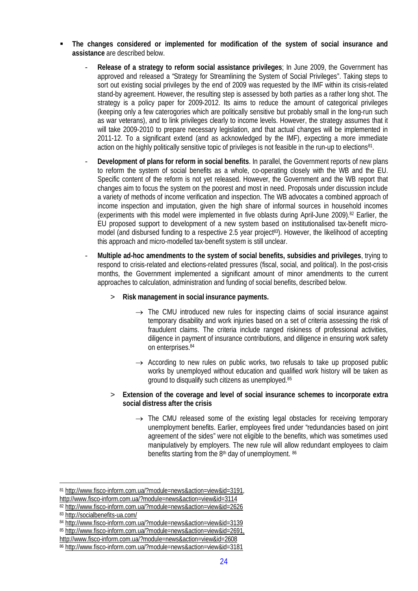- **The changes considered or implemented for modification of the system of social insurance and assistance** are described below.
	- **Release of a strategy to reform social assistance privileges**; In June 2009, the Government has approved and released a "Strategy for Streamlining the System of Social Privileges". Taking steps to sort out existing social privileges by the end of 2009 was requested by the IMF within its crisis-related stand-by agreement. However, the resulting step is assessed by both parties as a rather long shot. The strategy is a policy paper for 2009-2012. Its aims to reduce the amount of categorical privileges (keeping only a few caterogories which are politically sensitive but probably small in the long-run such as war veterans), and to link privileges clearly to income levels. However, the strategy assumes that it will take 2009-2010 to prepare necessary legislation, and that actual changes will be implemented in 2011-12. To a significant extend (and as acknowledged by the IMF), expecting a more immediate action on the highly politically sensitive topic of privileges is not feasible in the run-up to elections<sup>81</sup>.
	- **Development of plans for reform in social benefits**. In parallel, the Government reports of new plans to reform the system of social benefits as a whole, co-operating closely with the WB and the EU. Specific content of the reform is not yet released. However, the Government and the WB report that changes aim to focus the system on the poorest and most in need. Proposals under discussion include a variety of methods of income verification and inspection. The WB advocates a combined approach of income inspection and imputation, given the high share of informal sources in household incomes (experiments with this model were implemented in five oblasts during April-June 2009).82 Earlier, the EU proposed support to development of a new system based on institutionalised tax-benefit micromodel (and disbursed funding to a respective 2.5 year project<sup>83</sup>). However, the likelihood of accepting this approach and micro-modelled tax-benefit system is still unclear.
	- **Multiple ad-hoc amendments to the system of social benefits, subsidies and privileges**, trying to respond to crisis-related and elections-related pressures (fiscal, social, and political). In the post-crisis months, the Government implemented a significant amount of minor amendments to the current approaches to calculation, administration and funding of social benefits, described below.
		- > **Risk management in social insurance payments.**
			- $\rightarrow$  The CMU introduced new rules for inspecting claims of social insurance against temporary disability and work injuries based on a set of criteria assessing the risk of fraudulent claims. The criteria include ranged riskiness of professional activities, diligence in payment of insurance contributions, and diligence in ensuring work safety on enterprises.<sup>84</sup>
			- $\rightarrow$  According to new rules on public works, two refusals to take up proposed public works by unemployed without education and qualified work history will be taken as ground to disqualify such citizens as unemployed.<sup>85</sup>
		- > **Extension of the coverage and level of social insurance schemes to incorporate extra social distress after the crisis**
			- $\rightarrow$  The CMU released some of the existing legal obstacles for receiving temporary unemployment benefits. Earlier, employees fired under "redundancies based on joint agreement of the sides" were not eligible to the benefits, which was sometimes used manipulatively by employers. The new rule will allow redundant employees to claim benefits starting from the 8<sup>th</sup> day of unemployment. 86

<sup>81</sup><http://www.fisco-inform.com.ua/?module=news&action=view&id=3191,> <http://www.fisco-inform.com.ua/?module=news&action=view&id=3114>

<sup>82</sup><http://www.fisco-inform.com.ua/?module=news&action=view&id=2626>

<sup>83</sup><http://socialbenefits-ua.com/>

<sup>84</sup><http://www.fisco-inform.com.ua/?module=news&action=view&id=3139>

<sup>85</sup><http://www.fisco-inform.com.ua/?module=news&action=view&id=2691,>

<http://www.fisco-inform.com.ua/?module=news&action=view&id=2608>

<sup>86</sup><http://www.fisco-inform.com.ua/?module=news&action=view&id=3181>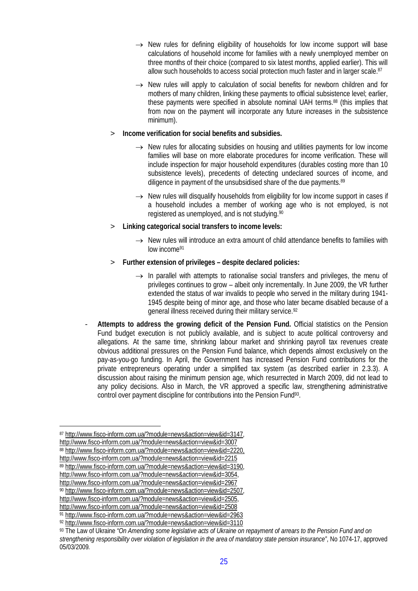- $\rightarrow$  New rules for defining eligibility of households for low income support will base calculations of household income for families with a newly unemployed member on three months of their choice (compared to six latest months, applied earlier). This will allow such households to access social protection much faster and in larger scale.<sup>87</sup>
- $\rightarrow$  New rules will apply to calculation of social benefits for newborn children and for mothers of many children, linking these payments to official subsistence level; earlier, these payments were specified in absolute nominal UAH terms.<sup>88</sup> (this implies that from now on the payment will incorporate any future increases in the subsistence minimum).
- > **Income verification for social benefits and subsidies.**
	- $\rightarrow$  New rules for allocating subsidies on housing and utilities payments for low income families will base on more elaborate procedures for income verification. These will include inspection for major household expenditures (durables costing more than 10 subsistence levels), precedents of detecting undeclared sources of income, and diligence in payment of the unsubsidised share of the due payments.<sup>89</sup>
	- $\rightarrow$  New rules will disqualify households from eligibility for low income support in cases if a household includes a member of working age who is not employed, is not registered as unemployed, and is not studying.<sup>90</sup>
- > **Linking categorical social transfers to income levels:**
	- $\rightarrow$  New rules will introduce an extra amount of child attendance benefits to families with low income<sup>91</sup>
- > **Further extension of privileges despite declared policies:**
	- $\rightarrow$  In parallel with attempts to rationalise social transfers and privileges, the menu of privileges continues to grow – albeit only incrementally. In June 2009, the VR further extended the status of war invalids to people who served in the military during 1941- 1945 despite being of minor age, and those who later became disabled because of a general illness received during their military service.<sup>92</sup>
- **Attempts to address the growing deficit of the Pension Fund.** Official statistics on the Pension Fund budget execution is not publicly available, and is subject to acute political controversy and allegations. At the same time, shrinking labour market and shrinking payroll tax revenues create obvious additional pressures on the Pension Fund balance, which depends almost exclusively on the pay-as-you-go funding. In April, the Government has increased Pension Fund contributions for the private entrepreneurs operating under a simplified tax system (as described earlier in 2.3.3). A discussion about raising the minimum pension age, which resurrected in March 2009, did not lead to any policy decisions. Also in March, the VR approved a specific law, strengthening administrative control over payment discipline for contributions into the Pension Fund<sup>93</sup>.

<sup>87</sup><http://www.fisco-inform.com.ua/?module=news&action=view&id=3147,>

<http://www.fisco-inform.com.ua/?module=news&action=view&id=3007>

<sup>88</sup><http://www.fisco-inform.com.ua/?module=news&action=view&id=2220,>

<http://www.fisco-inform.com.ua/?module=news&action=view&id=2215>

<sup>89</sup><http://www.fisco-inform.com.ua/?module=news&action=view&id=3190,>

<http://www.fisco-inform.com.ua/?module=news&action=view&id=3054,>

<http://www.fisco-inform.com.ua/?module=news&action=view&id=2967>

<sup>90</sup><http://www.fisco-inform.com.ua/?module=news&action=view&id=2507,>

<http://www.fisco-inform.com.ua/?module=news&action=view&id=2505,>

<http://www.fisco-inform.com.ua/?module=news&action=view&id=2508> 91<http://www.fisco-inform.com.ua/?module=news&action=view&id=2963>

<sup>92</sup><http://www.fisco-inform.com.ua/?module=news&action=view&id=3110>

<sup>93</sup> The Law of Ukraine *"On Amending some legislative acts of Ukraine on repayment of arrears to the Pension Fund and on strengthening responsibility over violation of legislation in the area of mandatory state pension insurance"*, No 1074-17, approved 05/03/2009.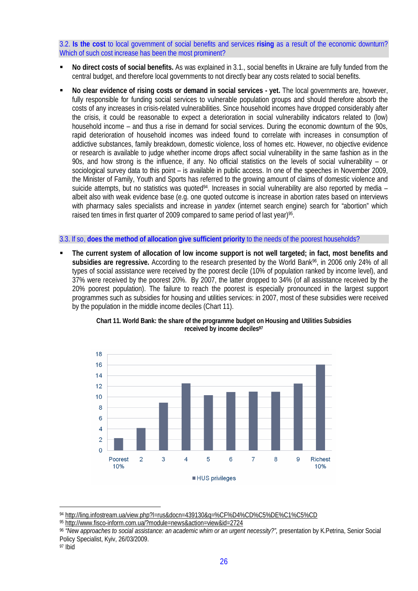## 3.2. **Is the cost** to local government of social benefits and services **rising** as a result of the economic downturn? Which of such cost increase has been the most prominent?

- **No direct costs of social benefits.** As was explained in 3.1., social benefits in Ukraine are fully funded from the central budget, and therefore local governments to not directly bear any costs related to social benefits.
- **No clear evidence of rising costs or demand in social services yet.** The local governments are, however, fully responsible for funding social services to vulnerable population groups and should therefore absorb the costs of any increases in crisis-related vulnerabilities. Since household incomes have dropped considerably after the crisis, it could be reasonable to expect a deterioration in social vulnerability indicators related to (low) household income – and thus a rise in demand for social services. During the economic downturn of the 90s, rapid deterioration of household incomes was indeed found to correlate with increases in consumption of addictive substances, family breakdown, domestic violence, loss of homes etc. However, no objective evidence or research is available to judge whether income drops affect social vulnerability in the same fashion as in the 90s, and how strong is the influence, if any. No official statistics on the levels of social vulnerability – or sociological survey data to this point – is available in public access. In one of the speeches in November 2009, the Minister of Family, Youth and Sports has referred to the growing amount of claims of domestic violence and suicide attempts, but no statistics was quoted<sup>94</sup>. Increases in social vulnerability are also reported by media – albeit also with weak evidence base (e.g. one quoted outcome is increase in abortion rates based on interviews with pharmacy sales specialists and increase in *yandex* (internet search engine) search for "abortion" which raised ten times in first quarter of 2009 compared to same period of last year)<sup>95</sup>.

### 3.3. If so, **does the method of allocation give sufficient priority** to the needs of the poorest households?

 **The current system of allocation of low income support is not well targeted; in fact, most benefits and** subsidies are regressive. According to the research presented by the World Bank<sup>96</sup>, in 2006 only 24% of all types of social assistance were received by the poorest decile (10% of population ranked by income level), and 37% were received by the poorest 20%. By 2007, the latter dropped to 34% (of all assistance received by the 20% poorest population). The failure to reach the poorest is especially pronounced in the largest support programmes such as subsidies for housing and utilities services: in 2007, most of these subsidies were received by the population in the middle income deciles (Chart 11).



**Chart 11. World Bank: the share of the programme budget on Housing and Utilities Subsidies received by income deciles<sup>97</sup>**

<sup>94</sup><http://ling.infostream.ua/view.php?l=rus&docn=439130&q=%CF%D4%CD%C5%DE%C1%C5%CD>

<sup>95</sup><http://www.fisco-inform.com.ua/?module=news&action=view&id=2724>

<sup>96</sup> *"New approaches to social assistance: an academic whim or an urgent necessity?",* presentation by K.Petrina, Senior Social Policy Specialist, Kyiv, 26/03/2009.